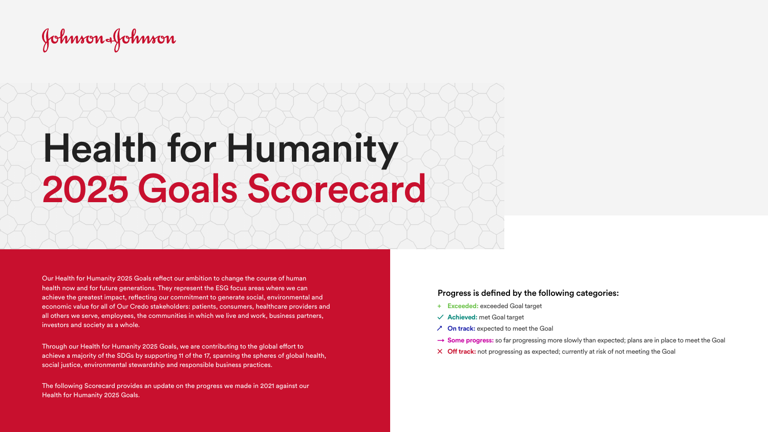Johnson-Johnson

## Health for Humanity 2025 Goals Scorecard

Our Health for Humanity 2025 Goals reflect our ambition to change the course of human health now and for future generations. They represent the ESG focus areas where we can achieve the greatest impact, reflecting our commitment to generate social, environmental and economic value for all of Our Credo stakeholders: patients, consumers, healthcare providers and all others we serve, employees, the communities in which we live and work, business partners, investors and society as a whole.

Through our Health for Humanity 2025 Goals, we are contributing to the global effort to achieve a majority of the SDGs by supporting 11 of the 17, spanning the spheres of global health, social justice, environmental stewardship and responsible business practices.

The following Scorecard provides an update on the progress we made in 2021 against our Health for Humanity 2025 Goals.

- **+ Exceeded:** exceeded Goal target
- **✓ Achieved:** met Goal target
- **↗ On track:** expected to meet the Goal
- → **Some progress:** so far progressing more slowly than expected; plans are in place to meet the Goal
- **✕ Off track:** not progressing as expected; currently at risk of not meeting the Goal

## Progress is defined by the following categories: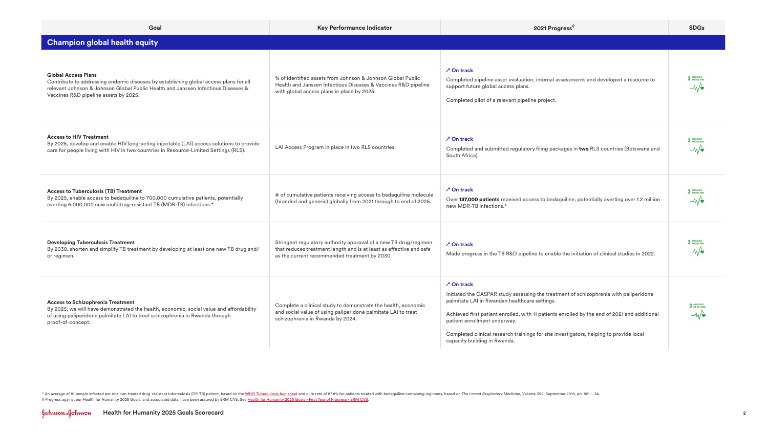| Goal                                                                                                                                                                                                                                              | Key Performance Indicator                                                                                                                                                                | 2021 Progress <sup>0</sup>                                                                                                                                                                                                                                                                                                                                                                                            | <b>SDGs</b>                     |
|---------------------------------------------------------------------------------------------------------------------------------------------------------------------------------------------------------------------------------------------------|------------------------------------------------------------------------------------------------------------------------------------------------------------------------------------------|-----------------------------------------------------------------------------------------------------------------------------------------------------------------------------------------------------------------------------------------------------------------------------------------------------------------------------------------------------------------------------------------------------------------------|---------------------------------|
| <b>Champion global health equity</b>                                                                                                                                                                                                              |                                                                                                                                                                                          |                                                                                                                                                                                                                                                                                                                                                                                                                       |                                 |
| <b>Global Access Plans</b><br>Contribute to addressing endemic diseases by establishing global access plans for all<br>relevant Johnson & Johnson Global Public Health and Janssen Infectious Diseases &<br>Vaccines R&D pipeline assets by 2025. | % of identified assets from Johnson & Johnson Global Public<br>Health and Janssen Infectious Diseases & Vaccines R&D pipeline<br>with global access plans in place by 2025.              | <b>∕ On track</b><br>Completed pipeline asset evaluation, internal assessments and developed a resource to<br>support future global access plans.<br>Completed pilot of a relevant pipeline project.                                                                                                                                                                                                                  | 3 6000 HEALTH<br>$-\mathcal{W}$ |
| <b>Access to HIV Treatment</b><br>By 2025, develop and enable HIV long-acting injectable (LAI) access solutions to provide<br>care for people living with HIV in two countries in Resource-Limited Settings (RLS).                                | LAI Access Program in place in two RLS countries.                                                                                                                                        | <b>∕ On track</b><br>Completed and submitted regulatory filing packages in two RLS countries (Botswana and<br>South Africa).                                                                                                                                                                                                                                                                                          | 3 GOOD HEALTH<br>$-\mathcal{W}$ |
| <b>Access to Tuberculosis (TB) Treatment</b><br>By 2025, enable access to bedaquiline to 700,000 cumulative patients, potentially<br>averting 6,000,000 new multidrug-resistant TB (MDR-TB) infections.*                                          | # of cumulative patients receiving access to bedaquiline molecule<br>(branded and generic) globally from 2021 through to end of 2025.                                                    | <b>⁄ On track</b><br>Over 137,000 patients received access to bedaquiline, potentially averting over 1.2 million<br>new MDR-TB infections.*                                                                                                                                                                                                                                                                           | 3 GOOD HEALTH<br>$-\mathcal{M}$ |
| <b>Developing Tuberculosis Treatment</b><br>By 2030, shorten and simplify TB treatment by developing at least one new TB drug and/<br>or regimen.                                                                                                 | Stringent regulatory authority approval of a new TB drug/regimen<br>that reduces treatment length and is at least as effective and safe<br>as the current recommended treatment by 2030. | <b>∕ On track</b><br>Made progress in the TB R&D pipeline to enable the initiation of clinical studies in 2022.                                                                                                                                                                                                                                                                                                       | 3 GOOD HEALTH<br>$-\mathcal{W}$ |
| <b>Access to Schizophrenia Treatment</b><br>By 2025, we will have demonstrated the health, economic, social value and affordability<br>of using paliperidone palmitate LAI to treat schizophrenia in Rwanda through<br>proof-of-concept.          | Complete a clinical study to demonstrate the health, economic<br>and social value of using paliperidone palmitate LAI to treat<br>schizophrenia in Rwanda by 2024.                       | <b>∕ On track</b><br>Initiated the CASPAR study assessing the treatment of schizophrenia with paliperidone<br>palmitate LAI in Rwandan healthcare settings.<br>Achieved first patient enrolled, with 11 patients enrolled by the end of 2021 and additional<br>patient enrollment underway.<br>Completed clinical research trainings for site investigators, helping to provide local<br>capacity building in Rwanda. | 3 GOOD HEALTH<br>$-\mathcal{W}$ |

\* An average of 10 people infected per one non-treated drug-resistant tuberculosis (DR-TB) patient, based on the [WHO Tuberculosis fact sheet](https://www.who.int/en/news-room/fact-sheets/detail/tuberculosis) and cure rate of 87.8% for patients treated with bedaquiline containing regimens, ◊ Progress against our Health for Humanity 2025 Goals, and associated data, have been assured by ERM CVS. See [Health for Humanity 2025 Goals - First Year of Progress - ERM CVS](https://healthforhumanityreport.jnj.com/reporting-hub/health-for-humanity-2025-goals-first-year-progress-erm-cvs-pdf).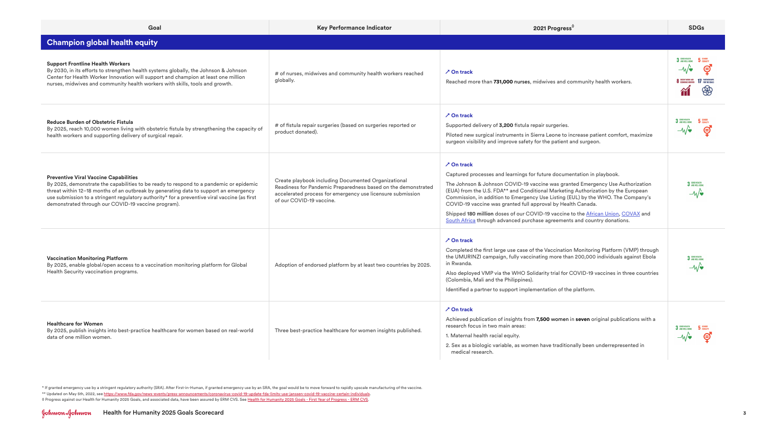| Goal                                                                                                                                                                                                                                                                                                                                                                                  | Key Performance Indicator                                                                                                                                                                                      | 2021 Progress <sup>0</sup>                                                                                                                                                                                                                                                                                                                                                                                                                                                                                                                                                               | <b>SDGs</b>                                                               |
|---------------------------------------------------------------------------------------------------------------------------------------------------------------------------------------------------------------------------------------------------------------------------------------------------------------------------------------------------------------------------------------|----------------------------------------------------------------------------------------------------------------------------------------------------------------------------------------------------------------|------------------------------------------------------------------------------------------------------------------------------------------------------------------------------------------------------------------------------------------------------------------------------------------------------------------------------------------------------------------------------------------------------------------------------------------------------------------------------------------------------------------------------------------------------------------------------------------|---------------------------------------------------------------------------|
| <b>Champion global health equity</b>                                                                                                                                                                                                                                                                                                                                                  |                                                                                                                                                                                                                |                                                                                                                                                                                                                                                                                                                                                                                                                                                                                                                                                                                          |                                                                           |
| <b>Support Frontline Health Workers</b><br>By 2030, in its efforts to strengthen health systems globally, the Johnson & Johnson<br>Center for Health Worker Innovation will support and champion at least one million<br>nurses, midwives and community health workers with skills, tools and growth.                                                                                 | # of nurses, midwives and community health workers reached<br>globally.                                                                                                                                        | $\lambda$ On track<br>Reached more than 731,000 nurses, midwives and community health workers.                                                                                                                                                                                                                                                                                                                                                                                                                                                                                           | 3 GOOD HEALTH 5 GENDER<br>$-M$<br>මු<br>8 DECENT WORK AND 17 PARTNERSHIPS |
| <b>Reduce Burden of Obstetric Fistula</b><br>By 2025, reach 10,000 women living with obstetric fistula by strengthening the capacity of<br>health workers and supporting delivery of surgical repair.                                                                                                                                                                                 | # of fistula repair surgeries (based on surgeries reported or<br>product donated).                                                                                                                             | $\lambda$ On track<br>Supported delivery of 3,200 fistula repair surgeries.<br>Piloted new surgical instruments in Sierra Leone to increase patient comfort, maximize<br>surgeon visibility and improve safety for the patient and surgeon.                                                                                                                                                                                                                                                                                                                                              | 3 6000 HEALTH<br>$5$ GENDER<br>⊜<br>$-\mathcal{N}$                        |
| <b>Preventive Viral Vaccine Capabilities</b><br>By 2025, demonstrate the capabilities to be ready to respond to a pandemic or epidemic<br>threat within 12-18 months of an outbreak by generating data to support an emergency<br>use submission to a stringent regulatory authority* for a preventive viral vaccine (as first<br>demonstrated through our COVID-19 vaccine program). | Create playbook including Documented Organizational<br>Readiness for Pandemic Preparedness based on the demonstrated<br>accelerated process for emergency use licensure submission<br>of our COVID-19 vaccine. | $\lambda$ On track<br>Captured processes and learnings for future documentation in playbook.<br>The Johnson & Johnson COVID-19 vaccine was granted Emergency Use Authorization<br>(EUA) from the U.S. FDA** and Conditional Marketing Authorization by the European<br>Commission, in addition to Emergency Use Listing (EUL) by the WHO. The Company's<br>COVID-19 vaccine was granted full approval by Health Canada.<br>Shipped 180 million doses of our COVID-19 vaccine to the African Union, COVAX and<br>South Africa through advanced purchase agreements and country donations. | 3 GOOD HEALTH<br>$-\mathbf{w}$                                            |
| <b>Vaccination Monitoring Platform</b><br>By 2025, enable global/open access to a vaccination monitoring platform for Global<br>Health Security vaccination programs.                                                                                                                                                                                                                 | Adoption of endorsed platform by at least two countries by 2025.                                                                                                                                               | $\lambda$ On track<br>Completed the first large use case of the Vaccination Monitoring Platform (VMP) through<br>the UMURINZI campaign, fully vaccinating more than 200,000 individuals against Ebola<br>in Rwanda.<br>Also deployed VMP via the WHO Solidarity trial for COVID-19 vaccines in three countries<br>(Colombia, Mali and the Philippines).<br>Identified a partner to support implementation of the platform.                                                                                                                                                               | 3 GOOD HEALTH<br>$-\mathcal{M}$                                           |
| <b>Healthcare for Women</b><br>By 2025, publish insights into best-practice healthcare for women based on real-world<br>data of one million women.                                                                                                                                                                                                                                    | Three best-practice healthcare for women insights published.                                                                                                                                                   | $\lambda$ On track<br>Achieved publication of insights from 7,500 women in seven original publications with a<br>research focus in two main areas:<br>1. Maternal health racial equity.<br>2. Sex as a biologic variable, as women have traditionally been underrepresented in<br>medical research.                                                                                                                                                                                                                                                                                      | 3 GOOD HEALTH<br>$5$ GENDER<br>⊜<br>$-\mathcal{M}/\mathbf{v}$             |

\* If granted emergency use by a stringent regulatory authority (SRA). After First-in-Human, if granted emergency use by an SRA, the goal would be to move forward to rapidly upscale manufacturing of the vaccine. \*\* Updated on May 5th, 2022, see [https://www.fda.gov/news-events/press-announcements/coronavirus-covid-19-update-fda-limits-use-janssen-covid-19-vaccine-certain-individuals.](https://www.fda.gov/news-events/press-announcements/coronavirus-covid-19-update-fda-limits-use-janssen-covid-19-vaccine-certain-individuals)

◊ Progress against our Health for Humanity 2025 Goals, and associated data, have been assured by ERM CVS. See [Health for Humanity 2025 Goals - First Year of Progress - ERM CVS](https://healthforhumanityreport.jnj.com/reporting-hub/health-for-humanity-2025-goals-first-year-progress-erm-cvs-pdf).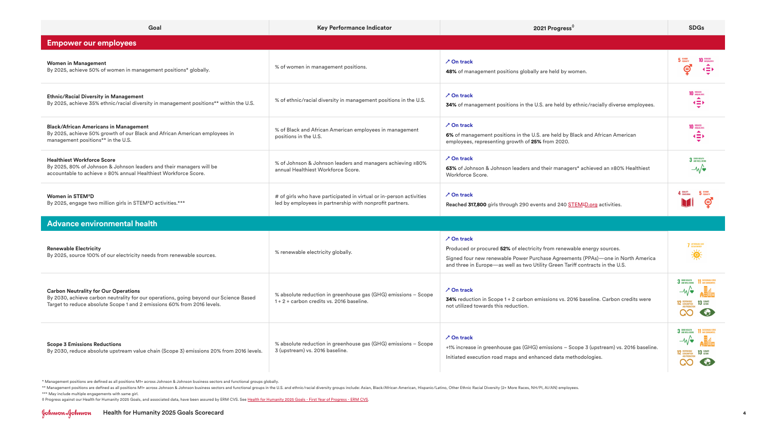| Goal                                                                                                                                                                                                            | Key Performance Indicator                                                                                                       | 2021 Progress <sup>0</sup>                                                                                                                                                                                                                                      | <b>SDGs</b>                                                                                 |
|-----------------------------------------------------------------------------------------------------------------------------------------------------------------------------------------------------------------|---------------------------------------------------------------------------------------------------------------------------------|-----------------------------------------------------------------------------------------------------------------------------------------------------------------------------------------------------------------------------------------------------------------|---------------------------------------------------------------------------------------------|
| <b>Empower our employees</b>                                                                                                                                                                                    |                                                                                                                                 |                                                                                                                                                                                                                                                                 |                                                                                             |
| <b>Women in Management</b><br>By 2025, achieve 50% of women in management positions* globally.                                                                                                                  | % of women in management positions.                                                                                             | <b>∕ On track</b><br>48% of management positions globally are held by women.                                                                                                                                                                                    | ⊜<br>$\left\langle \equiv \right\rangle$                                                    |
| <b>Ethnic/Racial Diversity in Management</b><br>By 2025, achieve 35% ethnic/racial diversity in management positions** within the U.S.                                                                          | % of ethnic/racial diversity in management positions in the U.S.                                                                | <b>∕ On track</b><br>34% of management positions in the U.S. are held by ethnic/racially diverse employees.                                                                                                                                                     | <b>10 REDUCED</b><br>$\left( \equiv \right)$                                                |
| <b>Black/African Americans in Management</b><br>By 2025, achieve 50% growth of our Black and African American employees in<br>management positions** in the U.S.                                                | % of Black and African American employees in management<br>positions in the U.S.                                                | <b>∕ On track</b><br>6% of management positions in the U.S. are held by Black and African American<br>employees, representing growth of 25% from 2020.                                                                                                          | <b>10 REDUCED</b><br>$\left( \equiv \right)$                                                |
| <b>Healthiest Workforce Score</b><br>By 2025, 80% of Johnson & Johnson leaders and their managers will be<br>accountable to achieve ≥ 80% annual Healthiest Workforce Score.                                    | % of Johnson & Johnson leaders and managers achieving ≥80%<br>annual Healthiest Workforce Score.                                | <b>∕ On track</b><br>63% of Johnson & Johnson leaders and their managers* achieved an ≥80% Healthiest<br>Workforce Score.                                                                                                                                       | 3 GOOD HEALTH<br>$-\mathcal{N}$                                                             |
| Women in STEM <sup>2</sup> D<br>By 2025, engage two million girls in STEM <sup>2</sup> D activities.***                                                                                                         | # of girls who have participated in virtual or in-person activities<br>led by employees in partnership with nonprofit partners. | <b>∕ On track</b><br>Reached 317,800 girls through 290 events and 240 STEM <sup>2</sup> D.org activities.                                                                                                                                                       | 5 GENDER<br>⊜                                                                               |
| <b>Advance environmental health</b>                                                                                                                                                                             |                                                                                                                                 |                                                                                                                                                                                                                                                                 |                                                                                             |
| <b>Renewable Electricity</b><br>By 2025, source 100% of our electricity needs from renewable sources.                                                                                                           | % renewable electricity globally.                                                                                               | <b>∕ On track</b><br>Produced or procured 52% of electricity from renewable energy sources.<br>Signed four new renewable Power Purchase Agreements (PPAs)-one in North America<br>and three in Europe—as well as two Utility Green Tariff contracts in the U.S. | <b>7</b> AFFORDABLE AND<br>美                                                                |
| <b>Carbon Neutrality for Our Operations</b><br>By 2030, achieve carbon neutrality for our operations, going beyond our Science Based<br>Target to reduce absolute Scope 1 and 2 emissions 60% from 2016 levels. | % absolute reduction in greenhouse gas (GHG) emissions - Scope<br>1 + 2 + carbon credits vs. 2016 baseline.                     | <b>∕ On track</b><br>34% reduction in Scope 1 + 2 carbon emissions vs. 2016 baseline. Carbon credits were<br>not utilized towards this reduction.                                                                                                               | 3 GOOD HEALTH<br>$-\mathcal{N}$<br>$13$ $\frac{\text{CUMATE}}{\text{ACTON}}$<br><b>CO</b>   |
| <b>Scope 3 Emissions Reductions</b><br>By 2030, reduce absolute upstream value chain (Scope 3) emissions 20% from 2016 levels.                                                                                  | % absolute reduction in greenhouse gas (GHG) emissions - Scope<br>3 (upstream) vs. 2016 baseline.                               | <b>∕ On track</b><br>+1% increase in greenhouse gas (GHG) emissions - Scope 3 (upstream) vs. 2016 baseline.<br>Initiated execution road maps and enhanced data methodologies.                                                                                   | 3 GOOD HEALTH 11 SUSTAINABLE CITIES<br>$-\sqrt{\bullet}$<br>12 RESPONSIBLE 13 CLIMATE<br>CO |

\* Management positions are defined as all positions M1+ across Johnson & Johnson business sectors and functional groups globally.

\*\* Management positions are defined as all positions M1+ across Johnson & Johnson business sectors and functional groups in the U.S. and ethnic/racial diversity groups include: Asian, Black/African American, Hispanic/Latin \*\*\* May include multiple engagements with same girl.

◊ Progress against our Health for Humanity 2025 Goals, and associated data, have been assured by ERM CVS. See [Health for Humanity 2025 Goals - First Year of Progress - ERM CVS](https://healthforhumanityreport.jnj.com/reporting-hub/health-for-humanity-2025-goals-first-year-progress-erm-cvs-pdf).